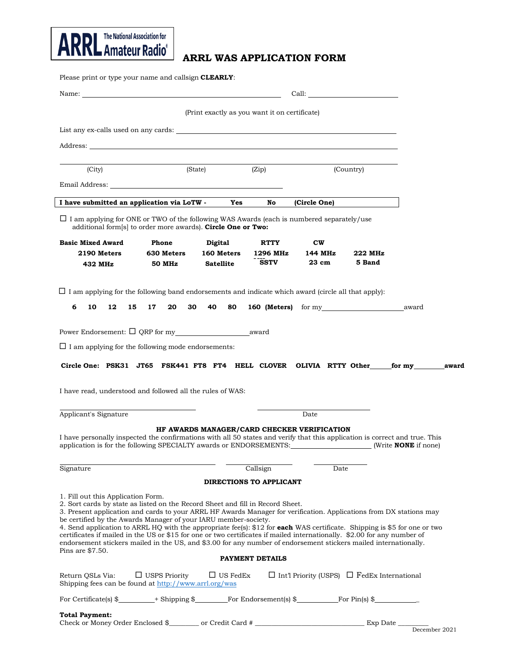

## **ARRL WAS APPLICATION FORM**

Please print or type your name and callsign **CLEARLY**:

|                                                                                                                                                                                                                                                                                                                                                                                                                                                                                                                                                                                                                                                                                                                        | Call:<br>Name: Name: 2008 and 2008 and 2008 and 2008 and 2008 and 2008 and 2008 and 2008 and 2008 and 2008 and 2008 and 2008 and 2008 and 2008 and 2008 and 2008 and 2008 and 2008 and 2008 and 2008 and 2008 and 2008 and 2008 and 200 |                                               |                                        |                                                         |                   |  |  |
|------------------------------------------------------------------------------------------------------------------------------------------------------------------------------------------------------------------------------------------------------------------------------------------------------------------------------------------------------------------------------------------------------------------------------------------------------------------------------------------------------------------------------------------------------------------------------------------------------------------------------------------------------------------------------------------------------------------------|-----------------------------------------------------------------------------------------------------------------------------------------------------------------------------------------------------------------------------------------|-----------------------------------------------|----------------------------------------|---------------------------------------------------------|-------------------|--|--|
|                                                                                                                                                                                                                                                                                                                                                                                                                                                                                                                                                                                                                                                                                                                        |                                                                                                                                                                                                                                         | (Print exactly as you want it on certificate) |                                        |                                                         |                   |  |  |
|                                                                                                                                                                                                                                                                                                                                                                                                                                                                                                                                                                                                                                                                                                                        |                                                                                                                                                                                                                                         |                                               |                                        |                                                         |                   |  |  |
|                                                                                                                                                                                                                                                                                                                                                                                                                                                                                                                                                                                                                                                                                                                        |                                                                                                                                                                                                                                         |                                               |                                        |                                                         |                   |  |  |
| (City)                                                                                                                                                                                                                                                                                                                                                                                                                                                                                                                                                                                                                                                                                                                 | (State)                                                                                                                                                                                                                                 |                                               | (Zip)                                  | (Country)                                               |                   |  |  |
| Email Address: the contract of the contract of the contract of the contract of the contract of the contract of the contract of the contract of the contract of the contract of the contract of the contract of the contract of                                                                                                                                                                                                                                                                                                                                                                                                                                                                                         |                                                                                                                                                                                                                                         |                                               |                                        |                                                         |                   |  |  |
| I have submitted an application via LoTW -                                                                                                                                                                                                                                                                                                                                                                                                                                                                                                                                                                                                                                                                             |                                                                                                                                                                                                                                         | Yes                                           | No                                     | (Circle One)                                            |                   |  |  |
| $\Box$ I am applying for ONE or TWO of the following WAS Awards (each is numbered separately/use<br>additional form[s] to order more awards). Circle One or Two:                                                                                                                                                                                                                                                                                                                                                                                                                                                                                                                                                       |                                                                                                                                                                                                                                         |                                               |                                        |                                                         |                   |  |  |
| <b>Basic Mixed Award</b><br>2190 Meters<br>432 MHz                                                                                                                                                                                                                                                                                                                                                                                                                                                                                                                                                                                                                                                                     | Phone<br>630 Meters<br><b>50 MHz</b>                                                                                                                                                                                                    | Digital<br>160 Meters<br><b>Satellite</b>     | <b>RTTY</b><br>1296 MHz<br><b>SSTV</b> | cw<br>144 MHz<br>23 cm                                  | 222 MHz<br>5 Band |  |  |
| $\Box$ I am applying for the following band endorsements and indicate which award (circle all that apply):                                                                                                                                                                                                                                                                                                                                                                                                                                                                                                                                                                                                             |                                                                                                                                                                                                                                         |                                               |                                        |                                                         |                   |  |  |
| 6<br>10<br>12<br>15                                                                                                                                                                                                                                                                                                                                                                                                                                                                                                                                                                                                                                                                                                    | 17<br>20<br>30                                                                                                                                                                                                                          | 40<br>80                                      |                                        | <b>160 (Meters)</b> for my award                        |                   |  |  |
|                                                                                                                                                                                                                                                                                                                                                                                                                                                                                                                                                                                                                                                                                                                        |                                                                                                                                                                                                                                         |                                               |                                        |                                                         |                   |  |  |
| $\Box$ I am applying for the following mode endorsements:                                                                                                                                                                                                                                                                                                                                                                                                                                                                                                                                                                                                                                                              |                                                                                                                                                                                                                                         |                                               |                                        |                                                         |                   |  |  |
| Circle One: PSK31 JT65 FSK441 FT8 FT4 HELL CLOVER OLIVIA RTTY Other for my award                                                                                                                                                                                                                                                                                                                                                                                                                                                                                                                                                                                                                                       |                                                                                                                                                                                                                                         |                                               |                                        |                                                         |                   |  |  |
| I have read, understood and followed all the rules of WAS:                                                                                                                                                                                                                                                                                                                                                                                                                                                                                                                                                                                                                                                             |                                                                                                                                                                                                                                         |                                               |                                        |                                                         |                   |  |  |
| Applicant's Signature                                                                                                                                                                                                                                                                                                                                                                                                                                                                                                                                                                                                                                                                                                  |                                                                                                                                                                                                                                         |                                               |                                        | Date                                                    |                   |  |  |
| I have personally inspected the confirmations with all 50 states and verify that this application is correct and true. This<br>application is for the following SPECIALTY awards or ENDORSEMENTS: [Write <b>NONE</b> if none]                                                                                                                                                                                                                                                                                                                                                                                                                                                                                          |                                                                                                                                                                                                                                         |                                               |                                        | HF AWARDS MANAGER/CARD CHECKER VERIFICATION             |                   |  |  |
| Signature                                                                                                                                                                                                                                                                                                                                                                                                                                                                                                                                                                                                                                                                                                              |                                                                                                                                                                                                                                         |                                               | Callsign                               | Date                                                    |                   |  |  |
|                                                                                                                                                                                                                                                                                                                                                                                                                                                                                                                                                                                                                                                                                                                        |                                                                                                                                                                                                                                         |                                               | <b>DIRECTIONS TO APPLICANT</b>         |                                                         |                   |  |  |
| 1. Fill out this Application Form.<br>2. Sort cards by state as listed on the Record Sheet and fill in Record Sheet.<br>3. Present application and cards to your ARRL HF Awards Manager for verification. Applications from DX stations may<br>be certified by the Awards Manager of your IARU member-society.<br>4. Send application to ARRL HQ with the appropriate fee(s): \$12 for <b>each</b> WAS certificate. Shipping is \$5 for one or two<br>certificates if mailed in the US or \$15 for one or two certificates if mailed internationally. \$2.00 for any number of<br>endorsement stickers mailed in the US, and \$3.00 for any number of endorsement stickers mailed internationally.<br>Pins are \$7.50. |                                                                                                                                                                                                                                         |                                               | <b>PAYMENT DETAILS</b>                 |                                                         |                   |  |  |
|                                                                                                                                                                                                                                                                                                                                                                                                                                                                                                                                                                                                                                                                                                                        |                                                                                                                                                                                                                                         | $\Box$ US FedEx                               |                                        |                                                         |                   |  |  |
| Return QSLs Via:<br>Shipping fees can be found at http://www.arrl.org/was                                                                                                                                                                                                                                                                                                                                                                                                                                                                                                                                                                                                                                              | $\Box$ USPS Priority                                                                                                                                                                                                                    |                                               |                                        | $\Box$ Int'l Priority (USPS) $\Box$ FedEx International |                   |  |  |
| For Certificate(s) $\frac{1}{2}$ + Shipping $\frac{1}{2}$ For Endorsement(s) $\frac{1}{2}$ For Pin(s) $\frac{1}{2}$                                                                                                                                                                                                                                                                                                                                                                                                                                                                                                                                                                                                    |                                                                                                                                                                                                                                         |                                               |                                        |                                                         |                   |  |  |
| <b>Total Payment:</b><br>Check or Money Order Enclosed \$__________ or Credit Card # _____________________                                                                                                                                                                                                                                                                                                                                                                                                                                                                                                                                                                                                             |                                                                                                                                                                                                                                         |                                               |                                        |                                                         |                   |  |  |